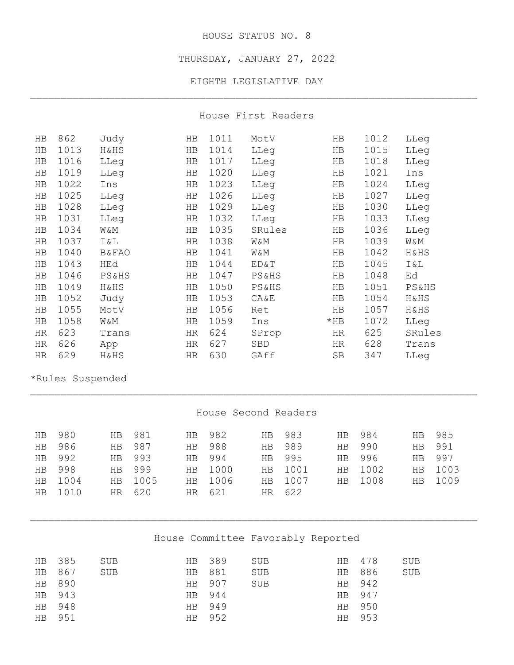#### HOUSE STATUS NO. 8

THURSDAY, JANUARY 27, 2022

EIGHTH LEGISLATIVE DAY \_\_\_\_\_\_\_\_\_\_\_\_\_\_\_\_\_\_\_\_\_\_\_\_\_\_\_\_\_\_\_\_\_\_\_\_\_\_\_\_\_\_\_\_\_\_\_\_\_\_\_\_\_\_\_\_\_\_\_\_\_\_\_\_\_\_\_\_\_\_\_\_\_\_

House First Readers

| HB | 862  | Judy             | HB | 1011 | MotV             | HB     | 1012 | LLeg             |
|----|------|------------------|----|------|------------------|--------|------|------------------|
| HB | 1013 | H&HS             | HB | 1014 | LLeg             | HB     | 1015 | LLeg             |
| HB | 1016 | LLeg             | HB | 1017 | LLeg             | HB     | 1018 | LLeg             |
| HB | 1019 | LLeg             | HB | 1020 | LLeg             | HB     | 1021 | Ins              |
| HB | 1022 | Ins              | HB | 1023 | LLeg             | HB     | 1024 | LLeg             |
| HB | 1025 | LLeg             | HB | 1026 | LLeg             | HB     | 1027 | LLeg             |
| HB | 1028 | LLeg             | HB | 1029 | LLeg             | HB     | 1030 | LLeg             |
| HB | 1031 | LLeq             | HB | 1032 | LLeg             | HB     | 1033 | LLeq             |
| HB | 1034 | W&Μ              | HB | 1035 | SRules           | HB     | 1036 | LLeq             |
| HB | 1037 | I & L            | HB | 1038 | W&M              | HB     | 1039 | W&Μ              |
| HB | 1040 | <b>B&amp;FAO</b> | HB | 1041 | W&M              | HB     | 1042 | H&HS             |
| HB | 1043 | HEd              | HB | 1044 | ED&T             | HB     | 1045 | Ι&L              |
| HB | 1046 | PS&HS            | HB | 1047 | <b>PS&amp;HS</b> | HB     | 1048 | Ed               |
| HB | 1049 | H&HS             | HB | 1050 | <b>PS&amp;HS</b> | HB     | 1051 | <b>PS&amp;HS</b> |
| HB | 1052 | Judy             | HB | 1053 | <b>CA&amp;E</b>  | HB     | 1054 | H&HS             |
| HB | 1055 | MotV             | HB | 1056 | Ret              | HB     | 1057 | H&HS             |
| HB | 1058 | W&M              | HB | 1059 | Ins              | $*$ HB | 1072 | LLeg             |
| HR | 623  | Trans            | HR | 624  | SProp            | HR     | 625  | SRules           |
| HR | 626  | App              | HR | 627  | SBD              | HR     | 628  | Trans            |
| HR | 629  | H&HS             | HR | 630  | GAff             | SB     | 347  | LLeg             |

\*Rules Suspended

### House Second Readers

\_\_\_\_\_\_\_\_\_\_\_\_\_\_\_\_\_\_\_\_\_\_\_\_\_\_\_\_\_\_\_\_\_\_\_\_\_\_\_\_\_\_\_\_\_\_\_\_\_\_\_\_\_\_\_\_\_\_\_\_\_\_\_\_\_\_\_\_\_\_\_\_\_\_

| HB        | 980    |                | HB 981  | HB .      | 982     | HB.       | 983     | HB .      | 984     | HB.            | 985     |
|-----------|--------|----------------|---------|-----------|---------|-----------|---------|-----------|---------|----------------|---------|
| HB        | 986    | H <sub>B</sub> | 987     | <b>HB</b> | 988     | <b>HB</b> | 989     | <b>HB</b> | 990     | <b>HB</b>      | 991     |
|           | HB 992 |                | HB 993  | <b>HB</b> | 994     | HB.       | 995     | <b>HB</b> | 996     | <b>HB</b>      | 997     |
| <b>HB</b> | 998    | <b>HB</b>      | 999     |           | HB 1000 |           | HB 1001 |           | HB 1002 |                | HB 1003 |
| HB.       | 1004   |                | HB 1005 | HB .      | 1006    |           | HB 1007 | HB .      | 1008    | H <sub>B</sub> | 1009    |
| HB.       | 1010   | HR I           | 620     |           | HR 621  |           | HR 622  |           |         |                |         |

# House Committee Favorably Reported

\_\_\_\_\_\_\_\_\_\_\_\_\_\_\_\_\_\_\_\_\_\_\_\_\_\_\_\_\_\_\_\_\_\_\_\_\_\_\_\_\_\_\_\_\_\_\_\_\_\_\_\_\_\_\_\_\_\_\_\_\_\_\_\_\_\_\_\_\_\_\_\_\_\_

| HB 389 | SUB                                            | HB 478 | SUB                                            |
|--------|------------------------------------------------|--------|------------------------------------------------|
|        | <b>SUB</b>                                     |        | SUB                                            |
|        | SUB                                            |        |                                                |
|        |                                                |        |                                                |
|        |                                                |        |                                                |
|        |                                                |        |                                                |
|        | HB 881<br>HB 907<br>HB 944<br>HB 949<br>HB 952 |        | HB 886<br>HB 942<br>HB 947<br>HB 950<br>HB 953 |